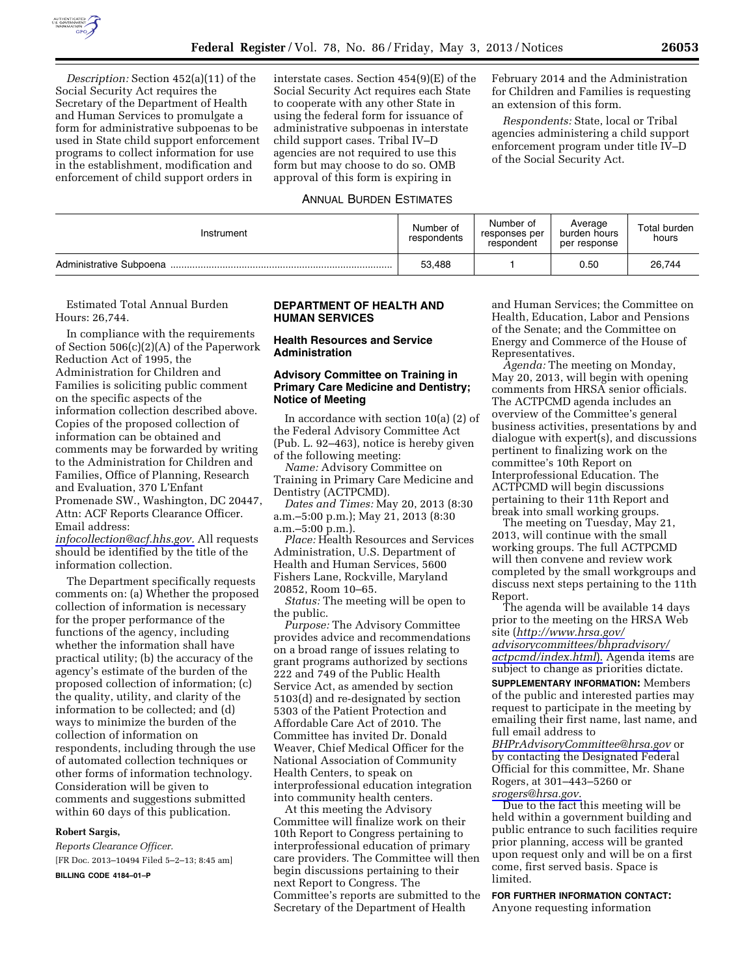

*Description:* Section 452(a)(11) of the Social Security Act requires the Secretary of the Department of Health and Human Services to promulgate a form for administrative subpoenas to be used in State child support enforcement programs to collect information for use in the establishment, modification and enforcement of child support orders in

interstate cases. Section 454(9)(E) of the Social Security Act requires each State to cooperate with any other State in using the federal form for issuance of administrative subpoenas in interstate child support cases. Tribal IV–D agencies are not required to use this form but may choose to do so. OMB approval of this form is expiring in

# ANNUAL BURDEN ESTIMATES

February 2014 and the Administration for Children and Families is requesting an extension of this form.

*Respondents:* State, local or Tribal agencies administering a child support enforcement program under title IV–D of the Social Security Act.

| Instrument              | Number of<br>respondents | Number of<br>responses per<br>respondent | Average<br>burden hours<br>per response | Total burden<br>hours |
|-------------------------|--------------------------|------------------------------------------|-----------------------------------------|-----------------------|
| Administrative Subpoena | 53.488                   |                                          | 0.50                                    | 26,744                |

Estimated Total Annual Burden Hours: 26,744.

In compliance with the requirements of Section 506(c)(2)(A) of the Paperwork Reduction Act of 1995, the Administration for Children and Families is soliciting public comment on the specific aspects of the information collection described above. Copies of the proposed collection of information can be obtained and comments may be forwarded by writing to the Administration for Children and Families, Office of Planning, Research and Evaluation, 370 L'Enfant Promenade SW., Washington, DC 20447, Attn: ACF Reports Clearance Officer. Email address:

*[infocollection@acf.hhs.gov.](mailto:infocollection@acf.hhs.gov)* All requests should be identified by the title of the information collection.

The Department specifically requests comments on: (a) Whether the proposed collection of information is necessary for the proper performance of the functions of the agency, including whether the information shall have practical utility; (b) the accuracy of the agency's estimate of the burden of the proposed collection of information; (c) the quality, utility, and clarity of the information to be collected; and (d) ways to minimize the burden of the collection of information on respondents, including through the use of automated collection techniques or other forms of information technology. Consideration will be given to comments and suggestions submitted within 60 days of this publication.

#### **Robert Sargis,**

*Reports Clearance Officer.*  [FR Doc. 2013–10494 Filed 5–2–13; 8:45 am]

**BILLING CODE 4184–01–P** 

## **DEPARTMENT OF HEALTH AND HUMAN SERVICES**

## **Health Resources and Service Administration**

## **Advisory Committee on Training in Primary Care Medicine and Dentistry; Notice of Meeting**

In accordance with section 10(a) (2) of the Federal Advisory Committee Act (Pub. L. 92–463), notice is hereby given of the following meeting:

*Name:* Advisory Committee on Training in Primary Care Medicine and Dentistry (ACTPCMD).

*Dates and Times:* May 20, 2013 (8:30 a.m.–5:00 p.m.); May 21, 2013 (8:30 a.m.–5:00 p.m.).

*Place:* Health Resources and Services Administration, U.S. Department of Health and Human Services, 5600 Fishers Lane, Rockville, Maryland 20852, Room 10–65.

*Status:* The meeting will be open to the public.

*Purpose:* The Advisory Committee provides advice and recommendations on a broad range of issues relating to grant programs authorized by sections 222 and 749 of the Public Health Service Act, as amended by section 5103(d) and re-designated by section 5303 of the Patient Protection and Affordable Care Act of 2010. The Committee has invited Dr. Donald Weaver, Chief Medical Officer for the National Association of Community Health Centers, to speak on interprofessional education integration into community health centers.

At this meeting the Advisory Committee will finalize work on their 10th Report to Congress pertaining to interprofessional education of primary care providers. The Committee will then begin discussions pertaining to their next Report to Congress. The Committee's reports are submitted to the Secretary of the Department of Health

and Human Services; the Committee on Health, Education, Labor and Pensions of the Senate; and the Committee on Energy and Commerce of the House of Representatives.

*Agenda:* The meeting on Monday, May 20, 2013, will begin with opening comments from HRSA senior officials. The ACTPCMD agenda includes an overview of the Committee's general business activities, presentations by and dialogue with expert(s), and discussions pertinent to finalizing work on the committee's 10th Report on Interprofessional Education. The ACTPCMD will begin discussions pertaining to their 11th Report and break into small working groups.

The meeting on Tuesday, May 21, 2013, will continue with the small working groups. The full ACTPCMD will then convene and review work completed by the small workgroups and discuss next steps pertaining to the 11th Report.

The agenda will be available 14 days prior to the meeting on the HRSA Web site (*[http://www.hrsa.gov/](http://www.hrsa.gov/advisorycommittees/bhpradvisory/actpcmd/index.html)  [advisorycommittees/bhpradvisory/](http://www.hrsa.gov/advisorycommittees/bhpradvisory/actpcmd/index.html) [actpcmd/index.html](http://www.hrsa.gov/advisorycommittees/bhpradvisory/actpcmd/index.html)*). Agenda items are subject to change as priorities dictate.

**SUPPLEMENTARY INFORMATION:** Members of the public and interested parties may request to participate in the meeting by emailing their first name, last name, and full email address to

*[BHPrAdvisoryCommittee@hrsa.gov](mailto:BHPrAdvisoryCommittee@hrsa.gov)* or by contacting the Designated Federal Official for this committee, Mr. Shane Rogers, at 301–443–5260 or *[srogers@hrsa.gov](mailto:srogers@hrsa.gov)*.

Due to the fact this meeting will be held within a government building and public entrance to such facilities require prior planning, access will be granted upon request only and will be on a first come, first served basis. Space is limited.

**FOR FURTHER INFORMATION CONTACT:**  Anyone requesting information